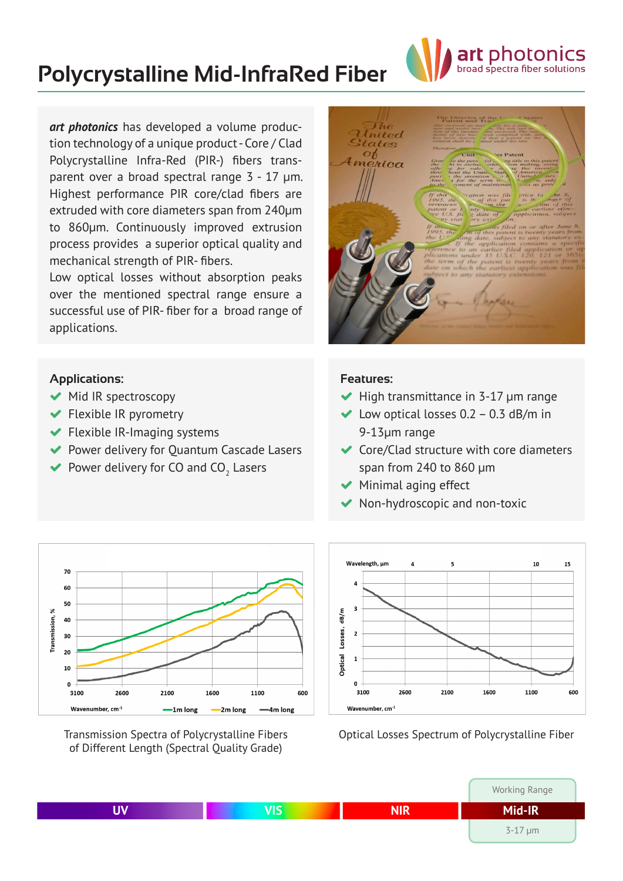

# **Polycrystalline Mid-InfraRed Fiber**

*art photonics* has developed a volume production technology of a unique product - Core / Clad Polycrystalline Infra-Red (PIR-) fibers transparent over a broad spectral range 3 - 17 μm. Highest performance PIR core/clad fibers are extruded with core diameters span from 240µm to 860µm. Continuously improved extrusion process provides a superior optical quality and mechanical strength of PIR- fibers.

Low optical losses without absorption peaks over the mentioned spectral range ensure a successful use of PIR- fiber for a broad range of applications.

#### **Applications:**

- ◆ Mid IR spectroscopy
- **◆** Flexible IR pyrometry
- $\blacktriangleright$  Flexible IR-Imaging systems
- ◆ Power delivery for Quantum Cascade Lasers
- $\blacktriangleright$  Power delivery for CO and CO<sub>2</sub> Lasers



#### **Features:**

- $\blacktriangleright$  High transmittance in 3-17  $\mu$ m range
- $\blacktriangleright$  Low optical losses 0.2 0.3 dB/m in 9-13µm range
- ◆ Core/Clad structure with core diameters span from 240 to 860 μm
- $\blacktriangleright$  Minimal aging effect
- Non-hydroscopic and non-toxic



Transmission Spectra of Polycrystalline Fibers of Different Length (Spectral Quality Grade)



Optical Losses Spectrum of Polycrystalline Fiber

|     |            | Working Range  |  |
|-----|------------|----------------|--|
| VIS | <b>NIR</b> | Mid-IR         |  |
|     |            | $3 - 17 \mu m$ |  |